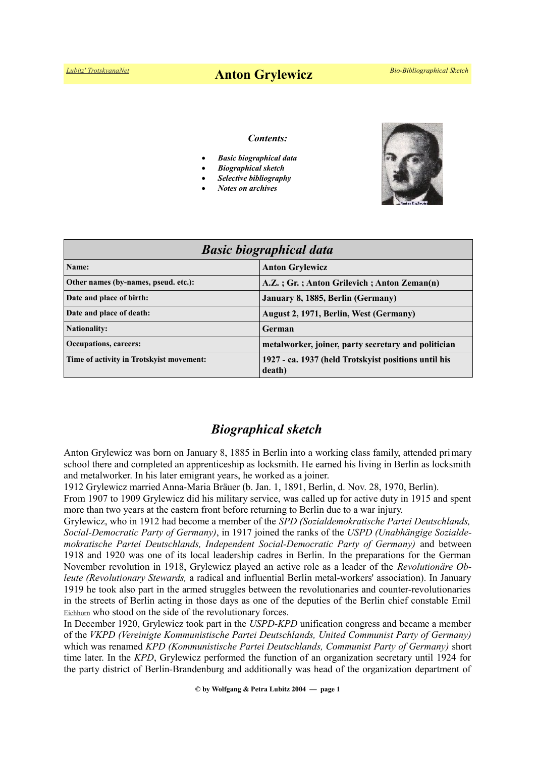# *[Lubitz' TrotskyanaNet](https://www.trotskyana.net/)* **Anton Grylewicz** *Bio-Bibliographical Sketch*

#### *Contents:*

- *Basic biographical data*
- *Biographical sketch*
- *Selective bibliography*
- *Notes on archives*



| <b>Basic biographical data</b>           |                                                                |
|------------------------------------------|----------------------------------------------------------------|
| Name:                                    | <b>Anton Grylewicz</b>                                         |
| Other names (by-names, pseud. etc.):     | A.Z.; Gr.; Anton Grilevich; Anton Zeman(n)                     |
| Date and place of birth:                 | January 8, 1885, Berlin (Germany)                              |
| Date and place of death:                 | August 2, 1971, Berlin, West (Germany)                         |
| <b>Nationality:</b>                      | German                                                         |
| <b>Occupations, careers:</b>             | metalworker, joiner, party secretary and politician            |
| Time of activity in Trotskyist movement: | 1927 - ca. 1937 (held Trotskyist positions until his<br>death) |

## *Biographical sketch*

Anton Grylewicz was born on January 8, 1885 in Berlin into a working class family, attended primary school there and completed an apprenticeship as locksmith. He earned his living in Berlin as locksmith and metalworker. In his later emigrant years, he worked as a joiner.

1912 Grylewicz married Anna-Maria Bräuer (b. Jan. 1, 1891, Berlin, d. Nov. 28, 1970, Berlin).

From 1907 to 1909 Grylewicz did his military service, was called up for active duty in 1915 and spent more than two years at the eastern front before returning to Berlin due to a war injury.

Grylewicz, who in 1912 had become a member of the *SPD (Sozialdemokratische Partei Deutschlands, Social-Democratic Party of Germany)*, in 1917 joined the ranks of the *USPD (Unabhängige Sozialdemokratische Partei Deutschlands, Independent Social-Democratic Party of Germany)* and between 1918 and 1920 was one of its local leadership cadres in Berlin. In the preparations for the German November revolution in 1918, Grylewicz played an active role as a leader of the *Revolutionäre Obleute (Revolutionary Stewards,* a radical and influential Berlin metal-workers' association). In January 1919 he took also part in the armed struggles between the revolutionaries and counter-revolutionaries in the streets of Berlin acting in those days as one of the deputies of the Berlin chief constable Emil [Eichhorn](https://en.wikipedia.org/wiki/Emil_Eichhorn) who stood on the side of the revolutionary forces.

In December 1920, Grylewicz took part in the *USPD-KPD* unification congress and became a member of the *VKPD (Vereinigte Kommunistische Partei Deutschlands, United Communist Party of Germany)* which was renamed *KPD (Kommunistische Partei Deutschlands, Communist Party of Germany)* short time later. In the *KPD*, Grylewicz performed the function of an organization secretary until 1924 for the party district of Berlin-Brandenburg and additionally was head of the organization department of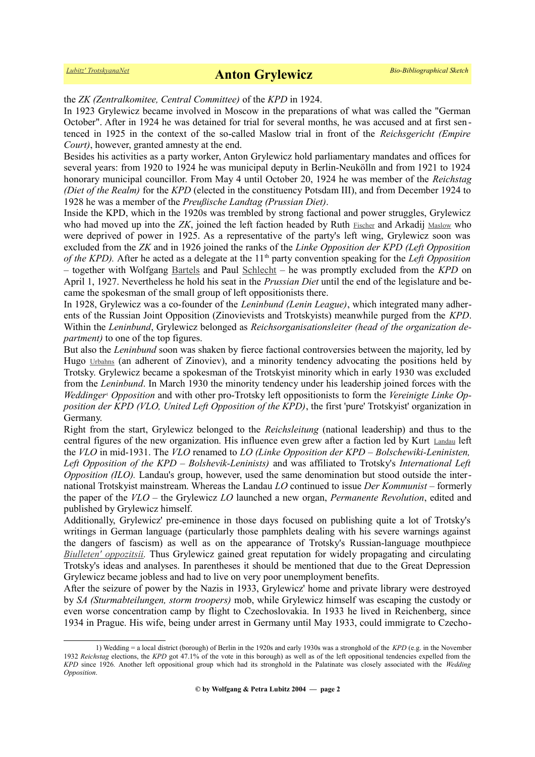#### the *ZK (Zentralkomitee, Central Committee)* of the *KPD* in 1924.

In 1923 Grylewicz became involved in Moscow in the preparations of what was called the "German October". After in 1924 he was detained for trial for several months, he was accused and at first sen tenced in 1925 in the context of the so-called Maslow trial in front of the *Reichsgericht (Empire Court)*, however, granted amnesty at the end.

Besides his activities as a party worker, Anton Grylewicz hold parliamentary mandates and offices for several years: from 1920 to 1924 he was municipal deputy in Berlin-Neukölln and from 1921 to 1924 honorary municipal councillor. From May 4 until October 20, 1924 he was member of the *Reichstag (Diet of the Realm)* for the *KPD* (elected in the constituency Potsdam III), and from December 1924 to 1928 he was a member of the *Preußische Landtag (Prussian Diet)*.

Inside the KPD, which in the 1920s was trembled by strong factional and power struggles, Grylewicz who had moved up into the *ZK*, joined the left faction headed by Ruth [Fischer](https://en.wikipedia.org/wiki/Ruth_Fischer) and Arkadij [Maslow](https://en.wikipedia.org/wiki/Arkadi_Maslow) who were deprived of power in 1925. As a representative of the party's left wing, Grylewicz soon was excluded from the *ZK* and in 1926 joined the ranks of the *Linke Opposition der KPD (Left Opposition of the KPD).* After he acted as a delegate at the 11<sup>th</sup> party convention speaking for the *Left Opposition –* together with Wolfgang [Bartels](https://de.wikipedia.org/wiki/Wolfgang_Bartels_(KPD)) and Paul [Schlecht](https://de.wikipedia.org/wiki/Paul_Schlecht) *–* he was promptly excluded from the *KPD* on April 1, 1927. Nevertheless he hold his seat in the *Prussian Diet* until the end of the legislature and became the spokesman of the small group of left oppositionists there.

In 1928, Grylewicz was a co-founder of the *Leninbund (Lenin League)*, which integrated many adherents of the Russian Joint Opposition (Zinovievists and Trotskyists) meanwhile purged from the *KPD*. Within the *Leninbund*, Grylewicz belonged as *Reichsorganisationsleiter (head of the organization department)* to one of the top figures.

But also the *Leninbund* soon was shaken by fierce factional controversies between the majority, led by Hugo [Urbahns](https://de.wikipedia.org/wiki/Hugo_Urbahns) (an adherent of Zinoviev), and a minority tendency advocating the positions held by Trotsky. Grylewicz became a spokesman of the Trotskyist minority which in early 1930 was excluded from the *Leninbund*. In March 1930 the minority tendency under his leadership joined forces with the *Weddinge[r](#page-1-0)*<sup>1</sup>  *Opposition* and with other pro-Trotsky left oppositionists to form the *Vereinigte Linke Opposition der KPD (VLO, United Left Opposition of the KPD)*, the first 'pure' Trotskyist' organization in Germany.

Right from the start, Grylewicz belonged to the *Reichsleitung* (national leadership) and thus to the central figures of the new organization. His influence even grew after a faction led by Kurt [Landau](https://de.wikipedia.org/wiki/Kurt_Landau_(Politiker)) left the *VLO* in mid-1931. The *VLO* renamed to *LO (Linke Opposition der KPD – Bolschewiki-Leninisten, Left Opposition of the KPD – Bolshevik-Leninists)* and was affiliated to Trotsky's *International Left Opposition (ILO).* Landau's group, however, used the same denomination but stood outside the international Trotskyist mainstream. Whereas the Landau *LO* continued to issue *Der Kommunist –* formerly the paper of the *VLO –* the Grylewicz *LO* launched a new organ, *Permanente Revolution*, edited and published by Grylewicz himself.

Additionally, Grylewicz' pre-eminence in those days focused on publishing quite a lot of Trotsky's writings in German language (particularly those pamphlets dealing with his severe warnings against the dangers of fascism) as well as on the appearance of Trotsky's Russian-language mouthpiece *[Biulleten' oppozitsii.](https://www.trotskyana.net/Leon_Trotsky/Biulleten__Oppozitsii/biulleten__oppozitsii.html)* Thus Grylewicz gained great reputation for widely propagating and circulating Trotsky's ideas and analyses. In parentheses it should be mentioned that due to the Great Depression Grylewicz became jobless and had to live on very poor unemployment benefits.

After the seizure of power by the Nazis in 1933, Grylewicz' home and private library were destroyed by *SA (Sturmabteilungen, storm troopers)* mob, while Grylewicz himself was escaping the custody or even worse concentration camp by flight to Czechoslovakia. In 1933 he lived in Reichenberg, since 1934 in Prague. His wife, being under arrest in Germany until May 1933, could immigrate to Czecho-

<span id="page-1-0"></span><sup>1)</sup> Wedding = a local district (borough) of Berlin in the 1920s and early 1930s was a stronghold of the *KPD* (e.g. in the November 1932 *Reichstag* elections, the *KPD* got 47.1% of the vote in this borough) as well as of the left oppositional tendencies expelled from the *KPD* since 1926*.* Another left oppositional group which had its stronghold in the Palatinate was closely associated with the *Wedding Opposition*.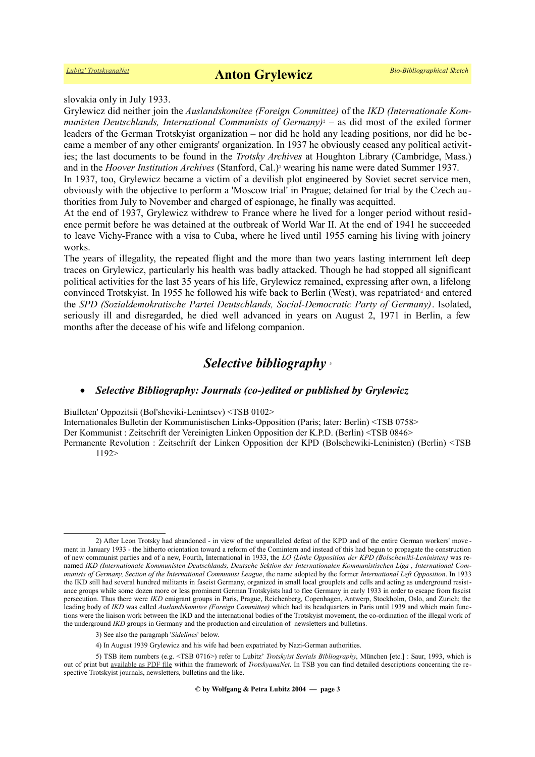slovakia only in July 1933.

Grylewicz did neither join the *Auslandskomitee (Foreign Committee)* of the *IKD (Internationale Kom-*munistenDeutschlands, International Communists of Germany)<sup>2</sup> – as did most of the exiled former leaders of the German Trotskyist organization – nor did he hold any leading positions, nor did he became a member of any other emigrants' organization. In 1937 he obviously ceased any political activities; the last documents to be found in the *Trotsky Archives* at Houghton Library (Cambridge, Mass.) and in the *Hoover Institution Archives* (Stanford, Cal.[\)](#page-2-1)<sup>3</sup> wearing his name were dated Summer 1937.

In 1937, too, Grylewicz became a victim of a devilish plot engineered by Soviet secret service men, obviously with the objective to perform a 'Moscow trial' in Prague; detained for trial by the Czech authorities from July to November and charged of espionage, he finally was acquitted.

At the end of 1937, Grylewicz withdrew to France where he lived for a longer period without residence permit before he was detained at the outbreak of World War II. At the end of 1941 he succeeded to leave Vichy-France with a visa to Cuba, where he lived until 1955 earning his living with joinery works.

The years of illegality, the repeated flight and the more than two years lasting internment left deep traces on Grylewicz, particularly his health was badly attacked. Though he had stopped all significant political activities for the last 35 years of his life, Grylewicz remained, expressing after own, a lifelong convinced Trotskyist. In 1955 he followed his wife back to Berlin (West), was repatriated<sup>[4](#page-2-2)</sup> and entered the *SPD (Sozialdemokratische Partei Deutschlands, Social-Democratic Party of Germany)*. Isolated, seriously ill and disregarded, he died well advanced in years on August 2, 1971 in Berlin, a few months after the decease of his wife and lifelong companion.

## *Selective bibliography* [5](#page-2-3)

#### *Selective Bibliography: Journals (co-)edited or published by Grylewicz*

Biulleten' Oppozitsii (Bol'sheviki-Lenintsev) <TSB 0102>

Internationales Bulletin der Kommunistischen Links-Opposition (Paris; later: Berlin) <TSB 0758>

Der Kommunist : Zeitschrift der Vereinigten Linken Opposition der K.P.D. (Berlin) <TSB 0846>

Permanente Revolution : Zeitschrift der Linken Opposition der KPD (Bolschewiki-Leninisten) (Berlin) <TSB 1192>

<span id="page-2-0"></span><sup>2)</sup> After Leon Trotsky had abandoned - in view of the unparalleled defeat of the KPD and of the entire German workers' move ment in January 1933 - the hitherto orientation toward a reform of the Comintern and instead of this had begun to propagate the construction of new communist parties and of a new, Fourth, International in 1933, the *LO (Linke Opposition der KPD (Bolschewiki-Leninisten)* was renamed *IKD (Internationale Kommunisten Deutschlands, Deutsche Sektion der Internationalen Kommunistischen Liga , International Communists of Germany, Section of the International Communist League*, the name adopted by the former *International Left Opposition*. In 1933 the IKD still had several hundred militants in fascist Germany, organized in small local grouplets and cells and acting as underground resistance groups while some dozen more or less prominent German Trotskyists had to flee Germany in early 1933 in order to escape from fascist persecution. Thus there were *IKD* emigrant groups in Paris, Prague, Reichenberg, Copenhagen, Antwerp, Stockholm, Oslo, and Zurich; the leading body of *IKD* was called *Auslandskomitee (Foreign Committee)* which had its headquarters in Paris until 1939 and which main functions were the liaison work between the IKD and the international bodies of the Trotskyist movement, the co-ordination of the illegal work of the underground *IKD* groups in Germany and the production and circulation of newsletters and bulletins.

<span id="page-2-1"></span><sup>3)</sup> See also the paragraph '*Sidelines*' below.

<span id="page-2-3"></span><span id="page-2-2"></span><sup>4)</sup> In August 1939 Grylewicz and his wife had been expatriated by Nazi-German authorities.

<sup>5)</sup> TSB item numbers (e.g. <TSB 0716>) refer to Lubitz' *Trotskyist Serials Bibliography*, München [etc.] : Saur, 1993, which is out of print but <u>available as PDF file</u> within the framework of *TrotskyanaNet*. In TSB you can find detailed descriptions concerning the respective Trotskyist journals, newsletters, bulletins and the like.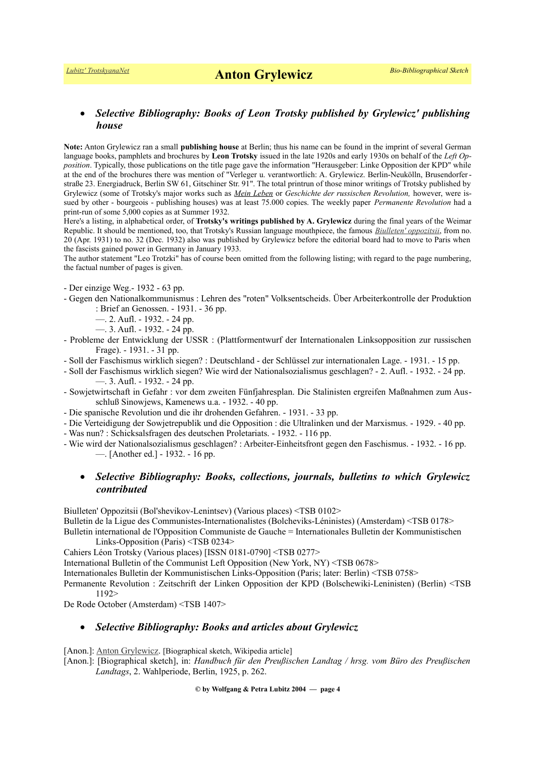### *Selective Bibliography: Books of Leon Trotsky published by Grylewicz' publishing house*

**Note:** Anton Grylewicz ran a small **publishing house** at Berlin; thus his name can be found in the imprint of several German language books, pamphlets and brochures by **Leon Trotsky** issued in the late 1920s and early 1930s on behalf of the *Left Opposition*. Typically, those publications on the title page gave the information "Herausgeber: Linke Opposition der KPD" while at the end of the brochures there was mention of "Verleger u. verantwortlich: A. Grylewicz. Berlin-Neukölln, Brusendorferstraße 23. Energiadruck, Berlin SW 61, Gitschiner Str. 91". The total printrun of those minor writings of Trotsky published by Grylewicz (some of Trotsky's major works such as *[Mein Leben](https://www.trotskyana.net/Leon_Trotsky/Autobiography/autobiography.html)* or *Geschichte der russischen Revolution,* however, were issued by other - bourgeois - publishing houses) was at least 75.000 copies. The weekly paper *Permanente Revolution* had a print-run of some 5,000 copies as at Summer 1932.

Here's a listing, in alphabetical order, of **Trotsky's writings published by A. Grylewicz** during the final years of the Weimar Republic. It should be mentioned, too, that Trotsky's Russian language mouthpiece, the famous *[Biulleten' oppozitsii](https://www.trotskyana.net/Leon_Trotsky/Biulleten__Oppozitsii/biulleten__oppozitsii.html)*, from no. 20 (Apr. 1931) to no. 32 (Dec. 1932) also was published by Grylewicz before the editorial board had to move to Paris when the fascists gained power in Germany in January 1933.

The author statement "Leo Trotzki" has of course been omitted from the following listing; with regard to the page numbering, the factual number of pages is given.

- Der einzige Weg.- 1932 63 pp.
- Gegen den Nationalkommunismus : Lehren des "roten" Volksentscheids. Über Arbeiterkontrolle der Produktion : Brief an Genossen. - 1931. - 36 pp.
	- —. 2. Aufl. 1932. 24 pp.
	- —. 3. Aufl. 1932. 24 pp.
- Probleme der Entwicklung der USSR : (Plattformentwurf der Internationalen Linksopposition zur russischen Frage). - 1931. - 31 pp.
- Soll der Faschismus wirklich siegen? : Deutschland der Schlüssel zur internationalen Lage. 1931. 15 pp.
- Soll der Faschismus wirklich siegen? Wie wird der Nationalsozialismus geschlagen? 2. Aufl. 1932. 24 pp. —. 3. Aufl. - 1932. - 24 pp.
- Sowjetwirtschaft in Gefahr : vor dem zweiten Fünfjahresplan. Die Stalinisten ergreifen Maßnahmen zum Ausschluß Sinowjews, Kamenews u.a. - 1932. - 40 pp.
- Die spanische Revolution und die ihr drohenden Gefahren. 1931. 33 pp.
- Die Verteidigung der Sowjetrepublik und die Opposition : die Ultralinken und der Marxismus. 1929. 40 pp.
- Was nun? : Schicksalsfragen des deutschen Proletariats. 1932. 116 pp.
- Wie wird der Nationalsozialismus geschlagen? : Arbeiter-Einheitsfront gegen den Faschismus. 1932. 16 pp. —. [Another ed.] - 1932. - 16 pp.

### *Selective Bibliography: Books, collections, journals, bulletins to which Grylewicz contributed*

Biulleten' Oppozitsii (Bol'shevikov-Lenintsev) (Various places) <TSB 0102>

Bulletin de la Ligue des Communistes-Internationalistes (Bolcheviks-Léninistes) (Amsterdam) <TSB 0178> Bulletin international de l'Opposition Communiste de Gauche = Internationales Bulletin der Kommunistischen Links-Opposition (Paris) <TSB 0234>

Cahiers Léon Trotsky (Various places) [ISSN 0181-0790] <TSB 0277>

International Bulletin of the Communist Left Opposition (New York, NY) <TSB 0678>

Internationales Bulletin der Kommunistischen Links-Opposition (Paris; later: Berlin) <TSB 0758>

Permanente Revolution : Zeitschrift der Linken Opposition der KPD (Bolschewiki-Leninisten) (Berlin) <TSB 1192>

De Rode October (Amsterdam) <TSB 1407>

### *Selective Bibliography: Books and articles about Grylewicz*

[Anon.]: [Anton Grylewicz.](https://en.wikipedia.org/wiki/Anton_Grylewicz) [Biographical sketch, Wikipedia article]

[Anon.]: [Biographical sketch], in: *Handbuch für den Preußischen Landtag / hrsg. vom Büro des Preußischen Landtags*, 2. Wahlperiode, Berlin, 1925, p. 262.

**© by Wolfgang & Petra Lubitz 2004 — page 4**